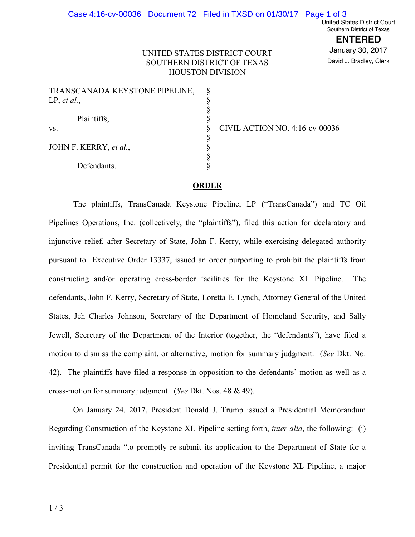United States District Court Southern District of Texas

> **ENTERED** January 30, 2017 David J. Bradley, Clerk

## UNITED STATES DISTRICT COURT SOUTHERN DISTRICT OF TEXAS HOUSTON DIVISION

| TRANSCANADA KEYSTONE PIPELINE, |  |
|--------------------------------|--|
| LP, et al.,                    |  |
|                                |  |
| Plaintiffs,                    |  |
| VS.                            |  |
|                                |  |
| JOHN F. KERRY, et al.,         |  |
|                                |  |
| Defendants.                    |  |

CIVIL ACTION NO. 4:16-cv-00036

## **ORDER**

The plaintiffs, TransCanada Keystone Pipeline, LP ("TransCanada") and TC Oil Pipelines Operations, Inc. (collectively, the "plaintiffs"), filed this action for declaratory and injunctive relief, after Secretary of State, John F. Kerry, while exercising delegated authority pursuant to Executive Order 13337, issued an order purporting to prohibit the plaintiffs from constructing and/or operating cross-border facilities for the Keystone XL Pipeline. The defendants, John F. Kerry, Secretary of State, Loretta E. Lynch, Attorney General of the United States, Jeh Charles Johnson, Secretary of the Department of Homeland Security, and Sally Jewell, Secretary of the Department of the Interior (together, the "defendants"), have filed a motion to dismiss the complaint, or alternative, motion for summary judgment. (*See* Dkt. No.") 42). The plaintiffs have filed a response in opposition to the defendants' motion as well as a cross-motion for summary judgment. (*See Dkt. Nos.* 48 & 49).

On January 24, 2017, President Donald J. Trump issued a Presidential Memorandum Regarding Construction of the Keystone XL Pipeline setting forth, *inter alia*, the following: (i) inviting TransCanada "to promptly re-submit its application to the Department of State for a Presidential permit for the construction and operation of the Keystone XL Pipeline, a major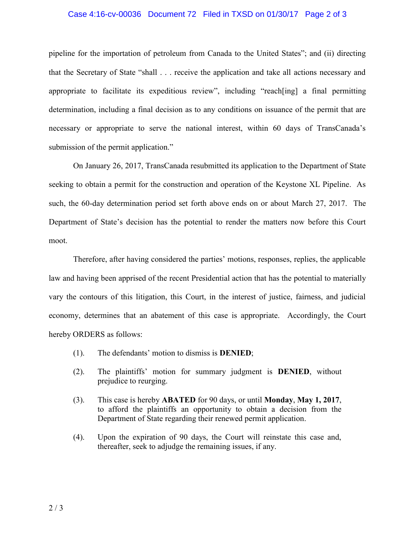## Case 4:16-cv-00036 Document 72 Filed in TXSD on 01/30/17 Page 2 of 3

pipeline for the importation of petroleum from Canada to the United States"; and (ii) directing that the Secretary of State "shall  $\ldots$  receive the application and take all actions necessary and appropriate to facilitate its expeditious review", including "reach[ing] a final permitting determination, including a final decision as to any conditions on issuance of the permit that are necessary or appropriate to serve the national interest, within 60 days of TransCanada's submission of the permit application."

On January 26, 2017, TransCanada resubmitted its application to the Department of State seeking to obtain a permit for the construction and operation of the Keystone XL Pipeline. As such, the 60-day determination period set forth above ends on or about March 27, 2017. The Department of State's decision has the potential to render the matters now before this Court moot.

Therefore, after having considered the parties' motions, responses, replies, the applicable law and having been apprised of the recent Presidential action that has the potential to materially vary the contours of this litigation, this Court, in the interest of justice, fairness, and judicial economy, determines that an abatement of this case is appropriate. Accordingly, the Court hereby ORDERS as follows:

- $(1)$ . The defendants' motion to dismiss is **DENIED**;
- $(2)$ . The plaintiffs' motion for summary judgment is **DENIED**, without prejudice to reurging.
- (3). This case is hereby **ABATED** for 90 days, or until **Monday**, **May 1, 2017**, to afford the plaintiffs an opportunity to obtain a decision from the Department of State regarding their renewed permit application.
- (4). Upon the expiration of 90 days, the Court will reinstate this case and, thereafter, seek to adjudge the remaining issues, if any.